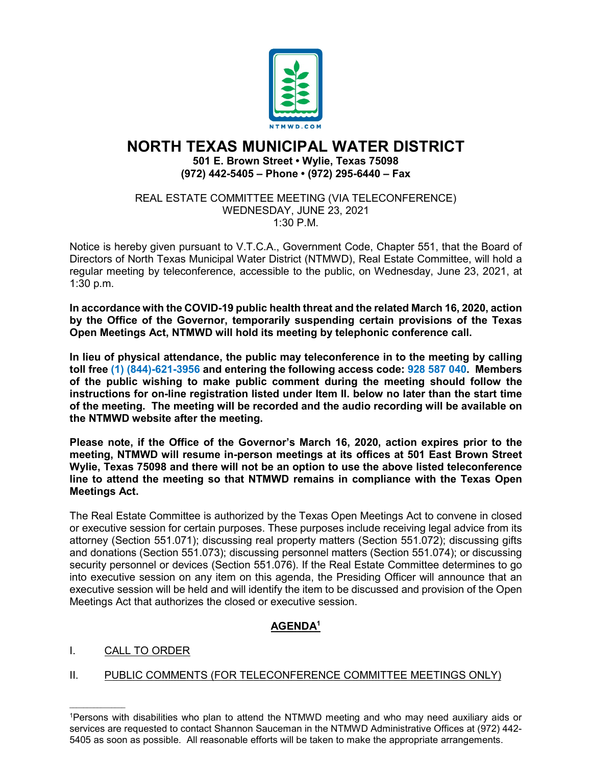

# **NORTH TEXAS MUNICIPAL WATER DISTRICT 501 E. Brown Street • Wylie, Texas 75098 (972) 442-5405 – Phone • (972) 295-6440 – Fax**

#### REAL ESTATE COMMITTEE MEETING (VIA TELECONFERENCE) WEDNESDAY, JUNE 23, 2021 1:30 P.M.

Notice is hereby given pursuant to V.T.C.A., Government Code, Chapter 551, that the Board of Directors of North Texas Municipal Water District (NTMWD), Real Estate Committee, will hold a regular meeting by teleconference, accessible to the public, on Wednesday, June 23, 2021, at 1:30 p.m.

**In accordance with the COVID-19 public health threat and the related March 16, 2020, action by the Office of the Governor, temporarily suspending certain provisions of the Texas Open Meetings Act, NTMWD will hold its meeting by telephonic conference call.** 

**In lieu of physical attendance, the public may teleconference in to the meeting by calling toll free (1) (844)-621-3956 and entering the following access code: 928 587 040. Members of the public wishing to make public comment during the meeting should follow the instructions for on-line registration listed under Item II. below no later than the start time of the meeting. The meeting will be recorded and the audio recording will be available on the NTMWD website after the meeting.**

**Please note, if the Office of the Governor's March 16, 2020, action expires prior to the meeting, NTMWD will resume in-person meetings at its offices at 501 East Brown Street Wylie, Texas 75098 and there will not be an option to use the above listed teleconference line to attend the meeting so that NTMWD remains in compliance with the Texas Open Meetings Act.**

The Real Estate Committee is authorized by the Texas Open Meetings Act to convene in closed or executive session for certain purposes. These purposes include receiving legal advice from its attorney (Section 551.071); discussing real property matters (Section 551.072); discussing gifts and donations (Section 551.073); discussing personnel matters (Section 551.074); or discussing security personnel or devices (Section 551.076). If the Real Estate Committee determines to go into executive session on any item on this agenda, the Presiding Officer will announce that an executive session will be held and will identify the item to be discussed and provision of the Open Meetings Act that authorizes the closed or executive session.

# **AGENDA1**

# I. CALL TO ORDER

 $\mathcal{L}_\text{max}$  and  $\mathcal{L}_\text{max}$  and  $\mathcal{L}_\text{max}$ 

## II. PUBLIC COMMENTS (FOR TELECONFERENCE COMMITTEE MEETINGS ONLY)

<sup>1</sup>Persons with disabilities who plan to attend the NTMWD meeting and who may need auxiliary aids or services are requested to contact Shannon Sauceman in the NTMWD Administrative Offices at (972) 442- 5405 as soon as possible. All reasonable efforts will be taken to make the appropriate arrangements.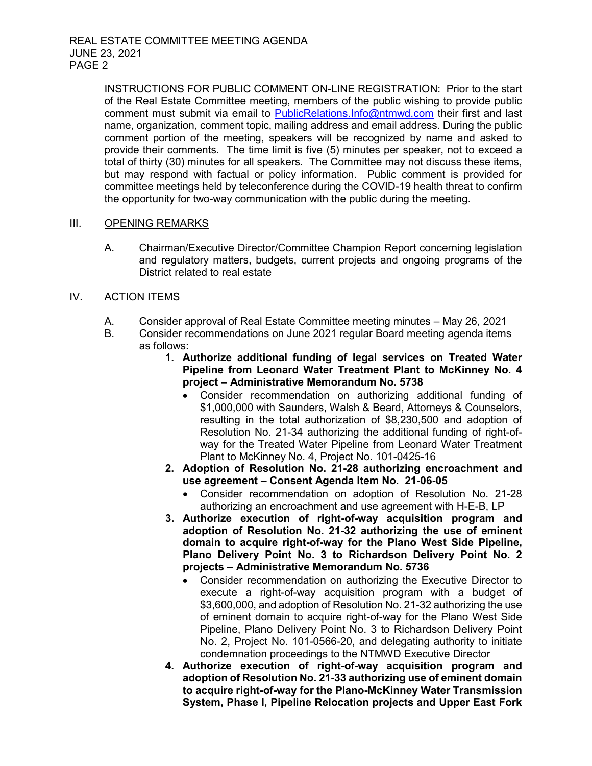INSTRUCTIONS FOR PUBLIC COMMENT ON-LINE REGISTRATION: Prior to the start of the Real Estate Committee meeting, members of the public wishing to provide public comment must submit via email to [PublicRelations.Info@ntmwd.com](mailto:PublicRelations.Info@ntmwd.com) their first and last name, organization, comment topic, mailing address and email address. During the public comment portion of the meeting, speakers will be recognized by name and asked to provide their comments. The time limit is five (5) minutes per speaker, not to exceed a total of thirty (30) minutes for all speakers. The Committee may not discuss these items, but may respond with factual or policy information. Public comment is provided for committee meetings held by teleconference during the COVID-19 health threat to confirm the opportunity for two-way communication with the public during the meeting.

#### III. OPENING REMARKS

A. Chairman/Executive Director/Committee Champion Report concerning legislation and regulatory matters, budgets, current projects and ongoing programs of the District related to real estate

### IV. ACTION ITEMS

- A. Consider approval of Real Estate Committee meeting minutes May 26, 2021
- B. Consider recommendations on June 2021 regular Board meeting agenda items as follows:
	- **1. Authorize additional funding of legal services on Treated Water Pipeline from Leonard Water Treatment Plant to McKinney No. 4 project – Administrative Memorandum No. 5738**
		- Consider recommendation on authorizing additional funding of \$1,000,000 with Saunders, Walsh & Beard, Attorneys & Counselors, resulting in the total authorization of \$8,230,500 and adoption of Resolution No. 21-34 authorizing the additional funding of right-ofway for the Treated Water Pipeline from Leonard Water Treatment Plant to McKinney No. 4, Project No. 101-0425-16
	- **2. Adoption of Resolution No. 21-28 authorizing encroachment and use agreement – Consent Agenda Item No. 21-06-05**
		- Consider recommendation on adoption of Resolution No. 21-28 authorizing an encroachment and use agreement with H-E-B, LP
	- **3. Authorize execution of right-of-way acquisition program and adoption of Resolution No. 21-32 authorizing the use of eminent domain to acquire right-of-way for the Plano West Side Pipeline, Plano Delivery Point No. 3 to Richardson Delivery Point No. 2 projects – Administrative Memorandum No. 5736**
		- Consider recommendation on authorizing the Executive Director to execute a right-of-way acquisition program with a budget of \$3,600,000, and adoption of Resolution No. 21-32 authorizing the use of eminent domain to acquire right-of-way for the Plano West Side Pipeline, Plano Delivery Point No. 3 to Richardson Delivery Point No. 2, Project No. 101-0566-20, and delegating authority to initiate condemnation proceedings to the NTMWD Executive Director
	- **4. Authorize execution of right-of-way acquisition program and adoption of Resolution No. 21-33 authorizing use of eminent domain to acquire right-of-way for the Plano-McKinney Water Transmission System, Phase I, Pipeline Relocation projects and Upper East Fork**